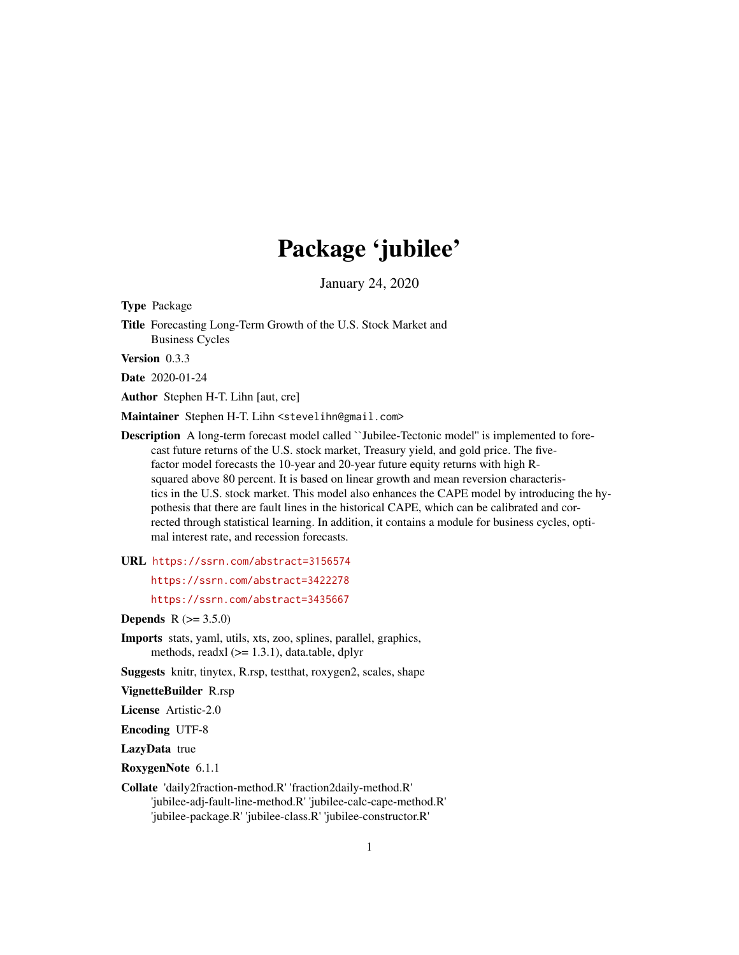# Package 'jubilee'

January 24, 2020

Type Package

Title Forecasting Long-Term Growth of the U.S. Stock Market and Business Cycles

Version 0.3.3

Date 2020-01-24

Author Stephen H-T. Lihn [aut, cre]

Maintainer Stephen H-T. Lihn <stevelihn@gmail.com>

Description A long-term forecast model called ``Jubilee-Tectonic model'' is implemented to forecast future returns of the U.S. stock market, Treasury yield, and gold price. The fivefactor model forecasts the 10-year and 20-year future equity returns with high Rsquared above 80 percent. It is based on linear growth and mean reversion characteristics in the U.S. stock market. This model also enhances the CAPE model by introducing the hypothesis that there are fault lines in the historical CAPE, which can be calibrated and corrected through statistical learning. In addition, it contains a module for business cycles, optimal interest rate, and recession forecasts.

URL <https://ssrn.com/abstract=3156574>

<https://ssrn.com/abstract=3422278>

<https://ssrn.com/abstract=3435667>

**Depends** R  $(>= 3.5.0)$ 

Imports stats, yaml, utils, xts, zoo, splines, parallel, graphics, methods, readxl (>= 1.3.1), data.table, dplyr

Suggests knitr, tinytex, R.rsp, testthat, roxygen2, scales, shape

VignetteBuilder R.rsp

License Artistic-2.0

Encoding UTF-8

LazyData true

RoxygenNote 6.1.1

Collate 'daily2fraction-method.R' 'fraction2daily-method.R' 'jubilee-adj-fault-line-method.R' 'jubilee-calc-cape-method.R' 'jubilee-package.R' 'jubilee-class.R' 'jubilee-constructor.R'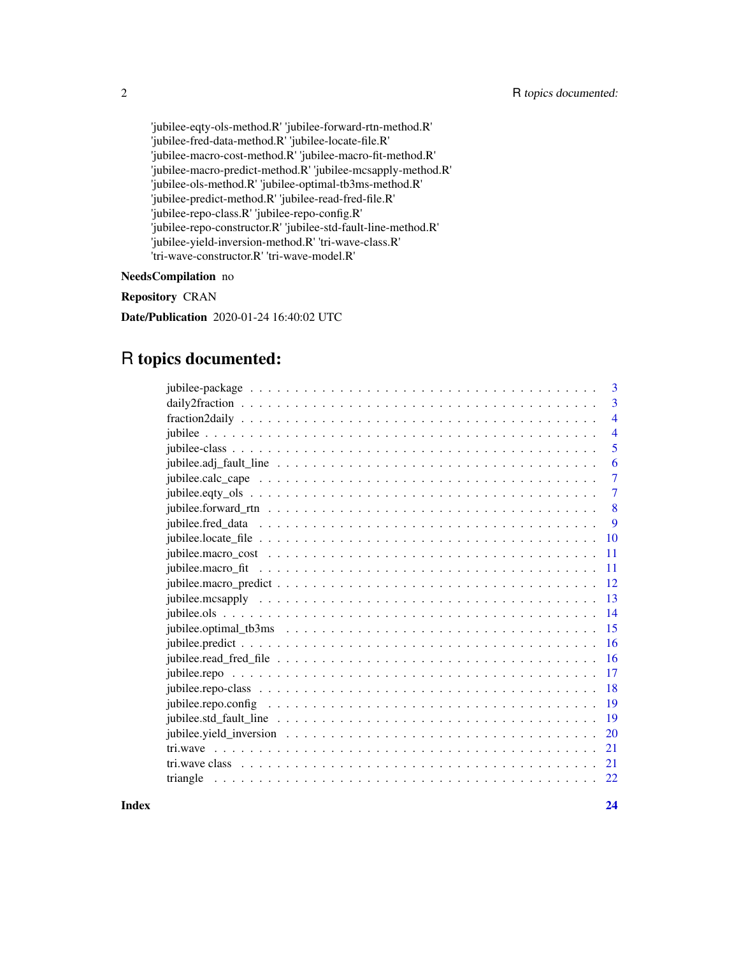'jubilee-eqty-ols-method.R' 'jubilee-forward-rtn-method.R' 'jubilee-fred-data-method.R' 'jubilee-locate-file.R' 'jubilee-macro-cost-method.R' 'jubilee-macro-fit-method.R' 'jubilee-macro-predict-method.R' 'jubilee-mcsapply-method.R' 'jubilee-ols-method.R' 'jubilee-optimal-tb3ms-method.R' 'jubilee-predict-method.R' 'jubilee-read-fred-file.R' 'jubilee-repo-class.R' 'jubilee-repo-config.R' 'jubilee-repo-constructor.R' 'jubilee-std-fault-line-method.R' 'jubilee-yield-inversion-method.R' 'tri-wave-class.R' 'tri-wave-constructor.R' 'tri-wave-model.R'

#### NeedsCompilation no

Repository CRAN

Date/Publication 2020-01-24 16:40:02 UTC

# R topics documented:

|                                                                                                                    | 3               |
|--------------------------------------------------------------------------------------------------------------------|-----------------|
|                                                                                                                    | 3               |
|                                                                                                                    | $\overline{4}$  |
|                                                                                                                    | $\overline{4}$  |
|                                                                                                                    | 5               |
|                                                                                                                    | 6               |
|                                                                                                                    | 7               |
|                                                                                                                    | 7               |
|                                                                                                                    | 8               |
|                                                                                                                    | 9               |
|                                                                                                                    | $\overline{10}$ |
|                                                                                                                    | 11              |
|                                                                                                                    | 11              |
|                                                                                                                    | <sup>12</sup>   |
|                                                                                                                    | -13             |
|                                                                                                                    | 14              |
|                                                                                                                    |                 |
|                                                                                                                    | 16              |
| jubilee.read_fred_file $\dots \dots \dots \dots \dots \dots \dots \dots \dots \dots \dots \dots \dots \dots \dots$ | 16              |
|                                                                                                                    | 17              |
|                                                                                                                    |                 |
|                                                                                                                    |                 |
|                                                                                                                    |                 |
|                                                                                                                    | 20              |
|                                                                                                                    | 21              |
|                                                                                                                    | 21              |
| triangle                                                                                                           | 22              |
|                                                                                                                    |                 |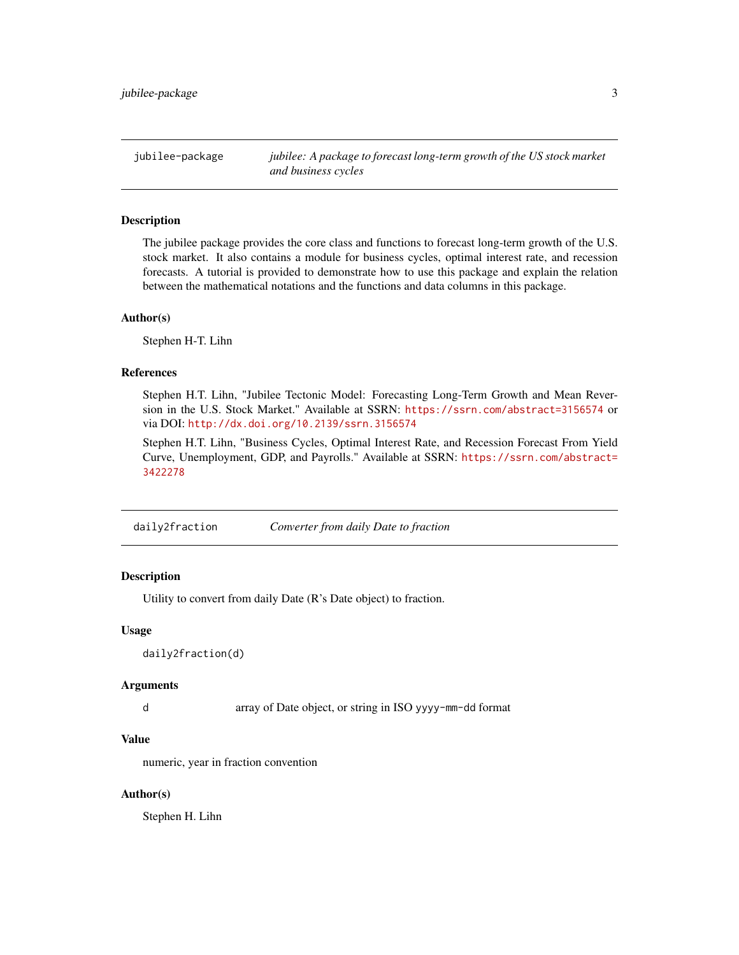<span id="page-2-0"></span>jubilee-package *jubilee: A package to forecast long-term growth of the US stock market and business cycles*

## **Description**

The jubilee package provides the core class and functions to forecast long-term growth of the U.S. stock market. It also contains a module for business cycles, optimal interest rate, and recession forecasts. A tutorial is provided to demonstrate how to use this package and explain the relation between the mathematical notations and the functions and data columns in this package.

#### Author(s)

Stephen H-T. Lihn

#### References

Stephen H.T. Lihn, "Jubilee Tectonic Model: Forecasting Long-Term Growth and Mean Reversion in the U.S. Stock Market." Available at SSRN: <https://ssrn.com/abstract=3156574> or via DOI: <http://dx.doi.org/10.2139/ssrn.3156574>

Stephen H.T. Lihn, "Business Cycles, Optimal Interest Rate, and Recession Forecast From Yield Curve, Unemployment, GDP, and Payrolls." Available at SSRN: [https://ssrn.com/abstract=](https://ssrn.com/abstract=3422278) [3422278](https://ssrn.com/abstract=3422278)

daily2fraction *Converter from daily Date to fraction*

#### Description

Utility to convert from daily Date (R's Date object) to fraction.

#### Usage

daily2fraction(d)

#### Arguments

d array of Date object, or string in ISO yyyy-mm-dd format

## Value

numeric, year in fraction convention

#### Author(s)

Stephen H. Lihn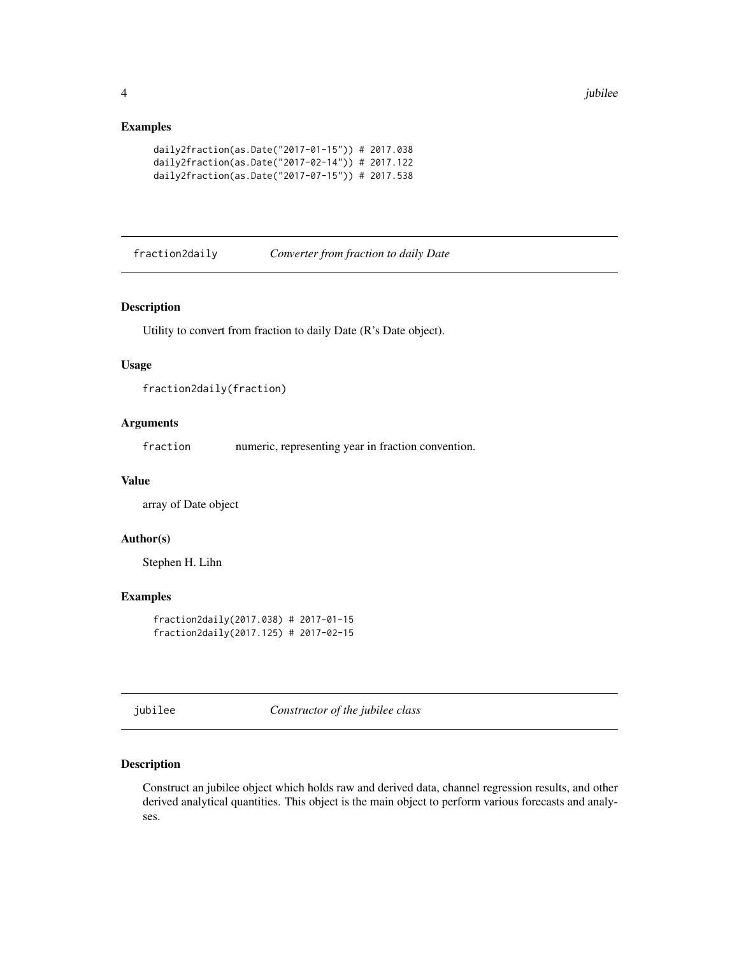#### <span id="page-3-0"></span>Examples

```
daily2fraction(as.Date("2017-01-15")) # 2017.038
daily2fraction(as.Date("2017-02-14")) # 2017.122
daily2fraction(as.Date("2017-07-15")) # 2017.538
```
fraction2daily *Converter from fraction to daily Date*

#### Description

Utility to convert from fraction to daily Date (R's Date object).

#### Usage

```
fraction2daily(fraction)
```
#### Arguments

fraction numeric, representing year in fraction convention.

#### Value

array of Date object

# Author(s)

Stephen H. Lihn

#### Examples

```
fraction2daily(2017.038) # 2017-01-15
fraction2daily(2017.125) # 2017-02-15
```
jubilee *Constructor of the jubilee class*

#### Description

Construct an jubilee object which holds raw and derived data, channel regression results, and other derived analytical quantities. This object is the main object to perform various forecasts and analyses.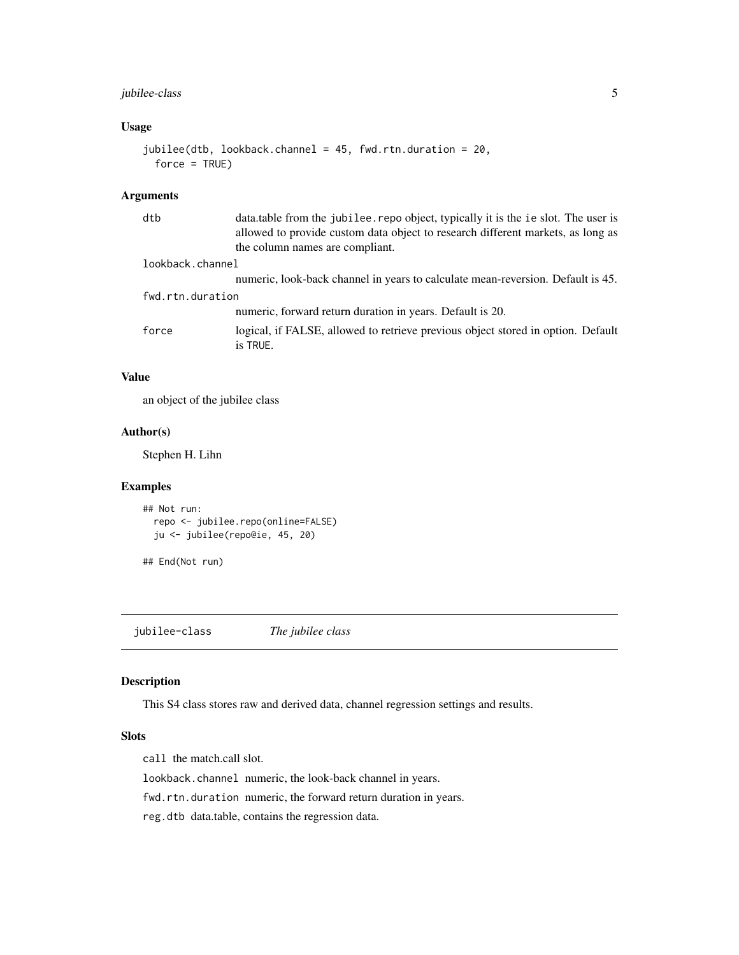## <span id="page-4-0"></span>jubilee-class 5

### Usage

```
jubilee(dtb, lookback.channel = 45, fwd.rtn.duration = 20,
 force = TRUE)
```
#### Arguments

| dtb              | data.table from the jubilee.repo object, typically it is the ie slot. The user is<br>allowed to provide custom data object to research different markets, as long as |
|------------------|----------------------------------------------------------------------------------------------------------------------------------------------------------------------|
|                  | the column names are compliant.                                                                                                                                      |
| lookback.channel |                                                                                                                                                                      |
|                  | numeric, look-back channel in years to calculate mean-reversion. Default is 45.                                                                                      |
| fwd.rtn.duration |                                                                                                                                                                      |
|                  | numeric, forward return duration in years. Default is 20.                                                                                                            |
| force            | logical, if FALSE, allowed to retrieve previous object stored in option. Default<br>is TRUE.                                                                         |

#### Value

an object of the jubilee class

#### Author(s)

Stephen H. Lihn

#### Examples

```
## Not run:
 repo <- jubilee.repo(online=FALSE)
 ju <- jubilee(repo@ie, 45, 20)
```
## End(Not run)

jubilee-class *The jubilee class*

#### Description

This S4 class stores raw and derived data, channel regression settings and results.

#### Slots

call the match.call slot.

lookback.channel numeric, the look-back channel in years.

fwd.rtn.duration numeric, the forward return duration in years.

reg.dtb data.table, contains the regression data.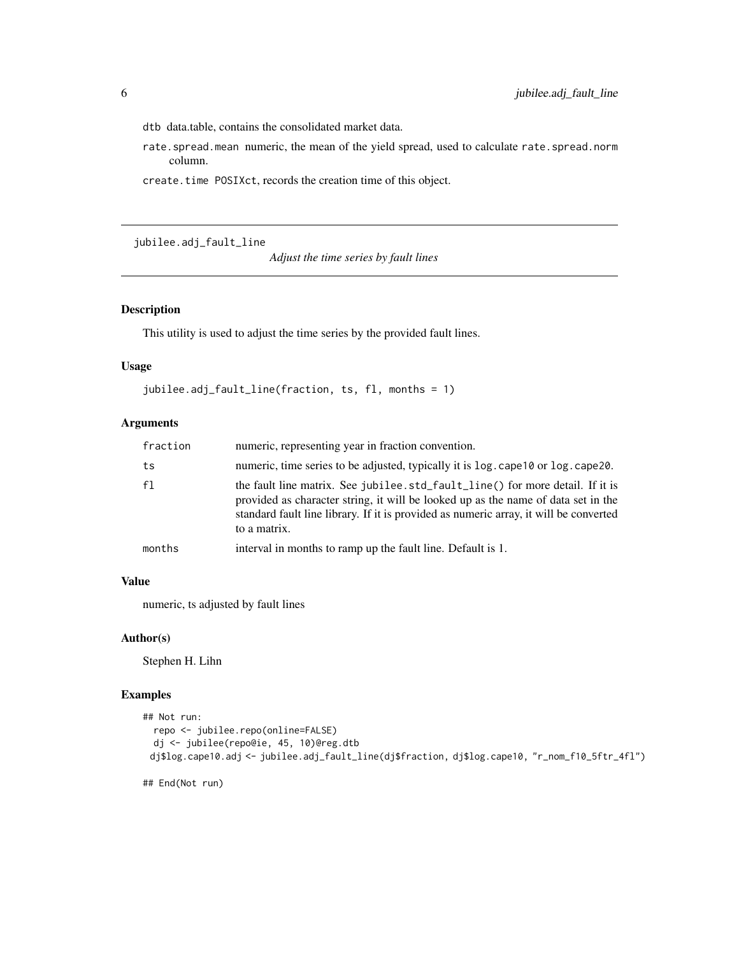<span id="page-5-0"></span>dtb data.table, contains the consolidated market data.

rate.spread.mean numeric, the mean of the yield spread, used to calculate rate.spread.norm column.

create.time POSIXct, records the creation time of this object.

jubilee.adj\_fault\_line

*Adjust the time series by fault lines*

## Description

This utility is used to adjust the time series by the provided fault lines.

#### Usage

```
jubilee.adj_fault_line(fraction, ts, fl, months = 1)
```
#### Arguments

| fraction | numeric, representing year in fraction convention.                                                                                                                                                                                                                          |  |
|----------|-----------------------------------------------------------------------------------------------------------------------------------------------------------------------------------------------------------------------------------------------------------------------------|--|
| ts       | numeric, time series to be adjusted, typically it is log. cape 10 or log. cape 20.                                                                                                                                                                                          |  |
| f1       | the fault line matrix. See jubilee.std_fault_line() for more detail. If it is<br>provided as character string, it will be looked up as the name of data set in the<br>standard fault line library. If it is provided as numeric array, it will be converted<br>to a matrix. |  |
| months   | interval in months to ramp up the fault line. Default is 1.                                                                                                                                                                                                                 |  |

#### Value

numeric, ts adjusted by fault lines

#### Author(s)

Stephen H. Lihn

#### Examples

```
## Not run:
 repo <- jubilee.repo(online=FALSE)
 dj <- jubilee(repo@ie, 45, 10)@reg.dtb
 dj$log.cape10.adj <- jubilee.adj_fault_line(dj$fraction, dj$log.cape10, "r_nom_f10_5ftr_4fl")
```
## End(Not run)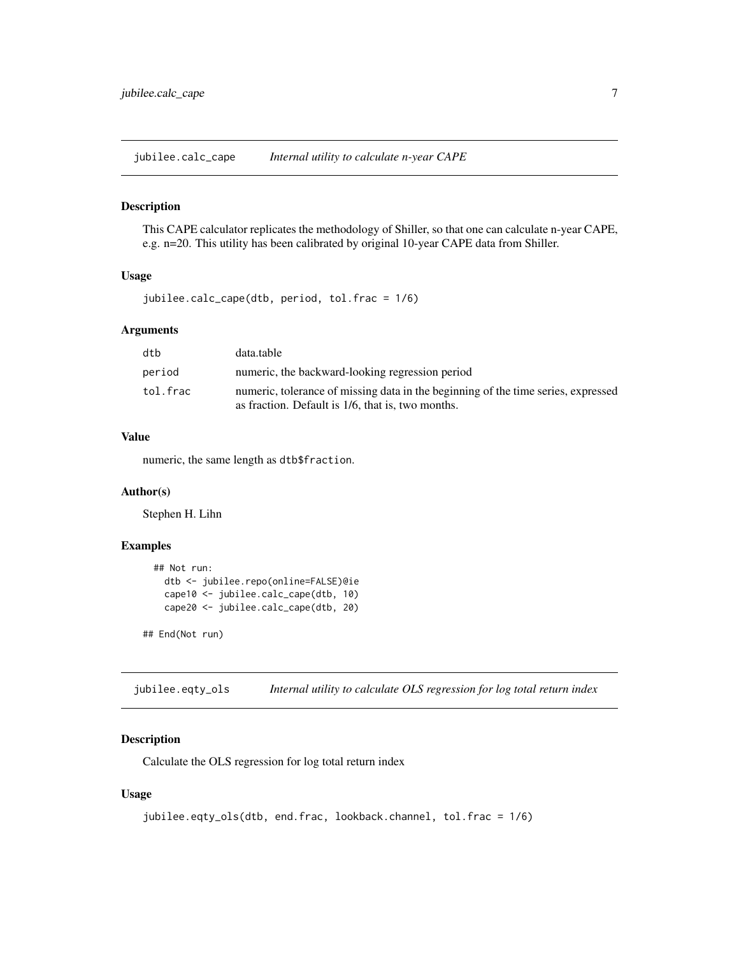<span id="page-6-0"></span>jubilee.calc\_cape *Internal utility to calculate n-year CAPE*

#### Description

This CAPE calculator replicates the methodology of Shiller, so that one can calculate n-year CAPE, e.g. n=20. This utility has been calibrated by original 10-year CAPE data from Shiller.

#### Usage

jubilee.calc\_cape(dtb, period, tol.frac = 1/6)

#### **Arguments**

| dtb      | data.table                                                                                                                             |
|----------|----------------------------------------------------------------------------------------------------------------------------------------|
| period   | numeric, the backward-looking regression period                                                                                        |
| tol.frac | numeric, tolerance of missing data in the beginning of the time series, expressed<br>as fraction. Default is 1/6, that is, two months. |

# Value

numeric, the same length as dtb\$fraction.

#### Author(s)

Stephen H. Lihn

## Examples

```
## Not run:
  dtb <- jubilee.repo(online=FALSE)@ie
  cape10 <- jubilee.calc_cape(dtb, 10)
  cape20 <- jubilee.calc_cape(dtb, 20)
```
## End(Not run)

jubilee.eqty\_ols *Internal utility to calculate OLS regression for log total return index*

## Description

Calculate the OLS regression for log total return index

#### Usage

```
jubilee.eqty_ols(dtb, end.frac, lookback.channel, tol.frac = 1/6)
```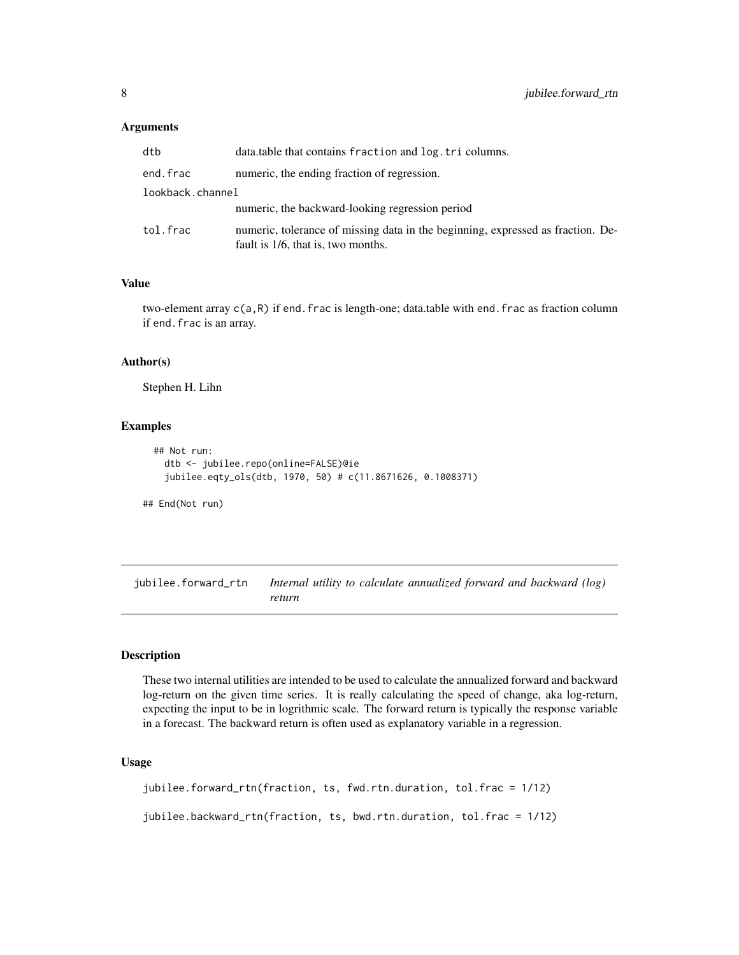#### <span id="page-7-0"></span>**Arguments**

| dtb              | data, table that contains fraction and log, tri columns.                                                              |  |
|------------------|-----------------------------------------------------------------------------------------------------------------------|--|
| end.frac         | numeric, the ending fraction of regression.                                                                           |  |
| lookback.channel |                                                                                                                       |  |
|                  | numeric, the backward-looking regression period                                                                       |  |
| tol.frac         | numeric, tolerance of missing data in the beginning, expressed as fraction. De-<br>fault is 1/6, that is, two months. |  |

#### Value

two-element array  $c(a,R)$  if end. frac is length-one; data.table with end. frac as fraction column if end.frac is an array.

#### Author(s)

Stephen H. Lihn

#### Examples

```
## Not run:
  dtb <- jubilee.repo(online=FALSE)@ie
  jubilee.eqty_ols(dtb, 1970, 50) # c(11.8671626, 0.1008371)
```
## End(Not run)

jubilee.forward\_rtn *Internal utility to calculate annualized forward and backward (log) return*

#### Description

These two internal utilities are intended to be used to calculate the annualized forward and backward log-return on the given time series. It is really calculating the speed of change, aka log-return, expecting the input to be in logrithmic scale. The forward return is typically the response variable in a forecast. The backward return is often used as explanatory variable in a regression.

#### Usage

```
jubilee.forward_rtn(fraction, ts, fwd.rtn.duration, tol.frac = 1/12)
jubilee.backward_rtn(fraction, ts, bwd.rtn.duration, tol.frac = 1/12)
```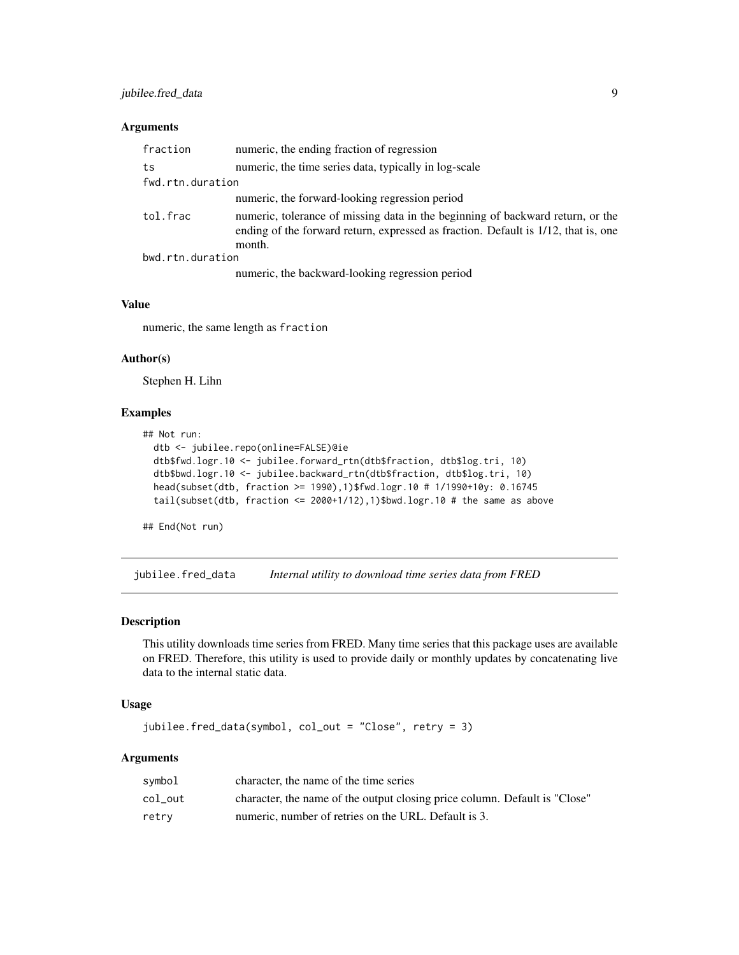## <span id="page-8-0"></span>jubilee.fred\_data 9

#### Arguments

| fraction         | numeric, the ending fraction of regression                                                                                                                                     |
|------------------|--------------------------------------------------------------------------------------------------------------------------------------------------------------------------------|
| ts               | numeric, the time series data, typically in log-scale                                                                                                                          |
| fwd.rtn.duration |                                                                                                                                                                                |
|                  | numeric, the forward-looking regression period                                                                                                                                 |
| tol.frac         | numeric, tolerance of missing data in the beginning of backward return, or the<br>ending of the forward return, expressed as fraction. Default is 1/12, that is, one<br>month. |
| bwd.rtn.duration |                                                                                                                                                                                |
|                  | numeric, the backward-looking regression period                                                                                                                                |

#### Value

numeric, the same length as fraction

#### Author(s)

Stephen H. Lihn

#### Examples

```
## Not run:
  dtb <- jubilee.repo(online=FALSE)@ie
  dtb$fwd.logr.10 <- jubilee.forward_rtn(dtb$fraction, dtb$log.tri, 10)
  dtb$bwd.logr.10 <- jubilee.backward_rtn(dtb$fraction, dtb$log.tri, 10)
  head(subset(dtb, fraction >= 1990),1)$fwd.logr.10 # 1/1990+10y: 0.16745
  tail(subset(dtb, fraction <= 2000+1/12),1)$bwd.logr.10 # the same as above
```
## End(Not run)

jubilee.fred\_data *Internal utility to download time series data from FRED*

#### Description

This utility downloads time series from FRED. Many time series that this package uses are available on FRED. Therefore, this utility is used to provide daily or monthly updates by concatenating live data to the internal static data.

#### Usage

```
jubilee.fred_data(symbol, col_out = "Close", retry = 3)
```
#### Arguments

| svmbol  | character, the name of the time series                                     |
|---------|----------------------------------------------------------------------------|
| col out | character, the name of the output closing price column. Default is "Close" |
| retry   | numeric, number of retries on the URL. Default is 3.                       |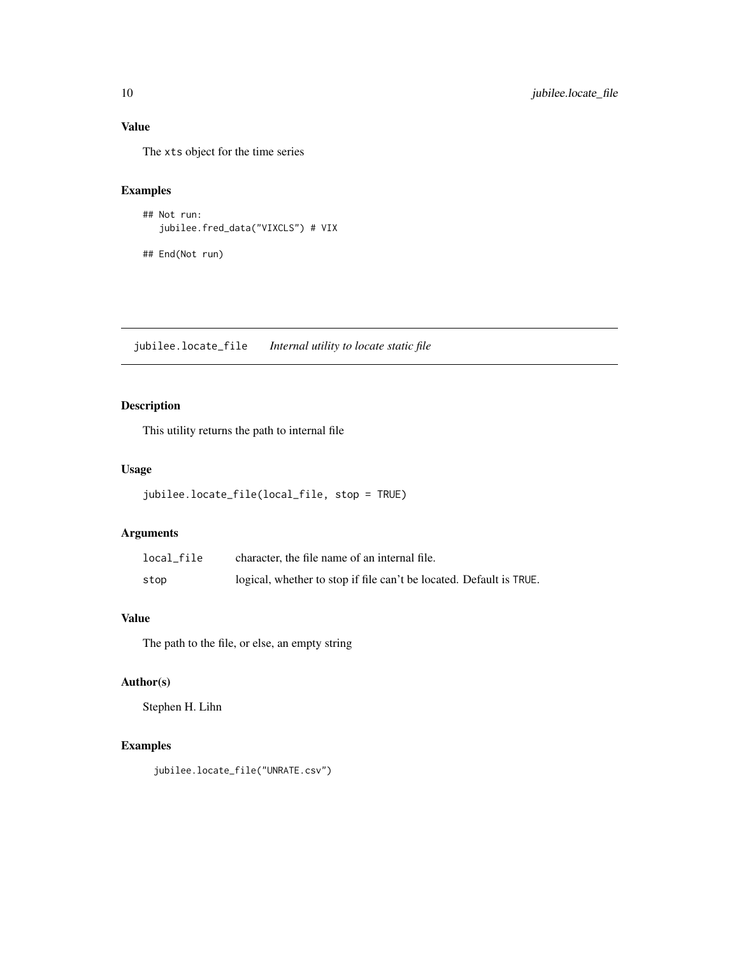# Value

The xts object for the time series

#### Examples

```
## Not run:
   jubilee.fred_data("VIXCLS") # VIX
```
## End(Not run)

jubilee.locate\_file *Internal utility to locate static file*

# Description

This utility returns the path to internal file

## Usage

```
jubilee.locate_file(local_file, stop = TRUE)
```
## Arguments

| local file | character, the file name of an internal file.                       |
|------------|---------------------------------------------------------------------|
| stop       | logical, whether to stop if file can't be located. Default is TRUE. |

# Value

The path to the file, or else, an empty string

## Author(s)

Stephen H. Lihn

# Examples

jubilee.locate\_file("UNRATE.csv")

<span id="page-9-0"></span>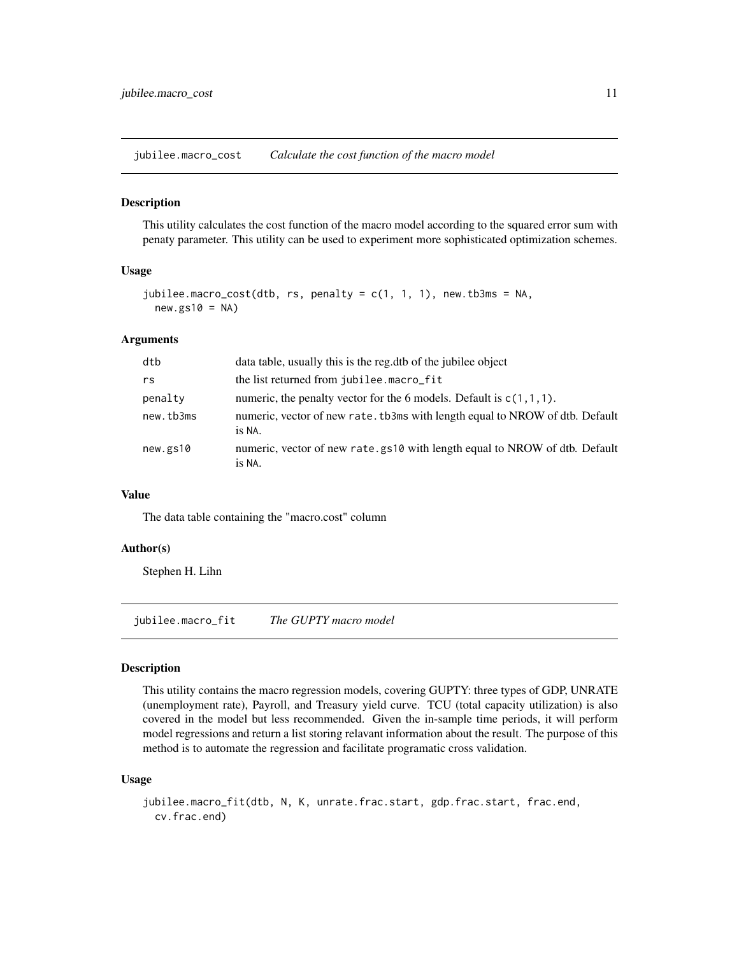<span id="page-10-0"></span>jubilee.macro\_cost *Calculate the cost function of the macro model*

#### Description

This utility calculates the cost function of the macro model according to the squared error sum with penaty parameter. This utility can be used to experiment more sophisticated optimization schemes.

#### Usage

```
jubilee.macro_cost(dtb, rs, penalty = c(1, 1, 1), new.tb3ms = NA,
 new(gs10 = NA)
```
#### Arguments

| dtb       | data table, usually this is the reg. dtb of the jubilee object                         |
|-----------|----------------------------------------------------------------------------------------|
| rs        | the list returned from jubilee.macro_fit                                               |
| penalty   | numeric, the penalty vector for the 6 models. Default is $c(1,1,1)$ .                  |
| new.tb3ms | numeric, vector of new rate. tb3ms with length equal to NROW of dtb. Default<br>is NA. |
| new.gs10  | numeric, vector of new rate.gs10 with length equal to NROW of dtb. Default<br>is NA.   |

#### Value

The data table containing the "macro.cost" column

#### Author(s)

Stephen H. Lihn

jubilee.macro\_fit *The GUPTY macro model*

#### Description

This utility contains the macro regression models, covering GUPTY: three types of GDP, UNRATE (unemployment rate), Payroll, and Treasury yield curve. TCU (total capacity utilization) is also covered in the model but less recommended. Given the in-sample time periods, it will perform model regressions and return a list storing relavant information about the result. The purpose of this method is to automate the regression and facilitate programatic cross validation.

#### Usage

```
jubilee.macro_fit(dtb, N, K, unrate.frac.start, gdp.frac.start, frac.end,
 cv.frac.end)
```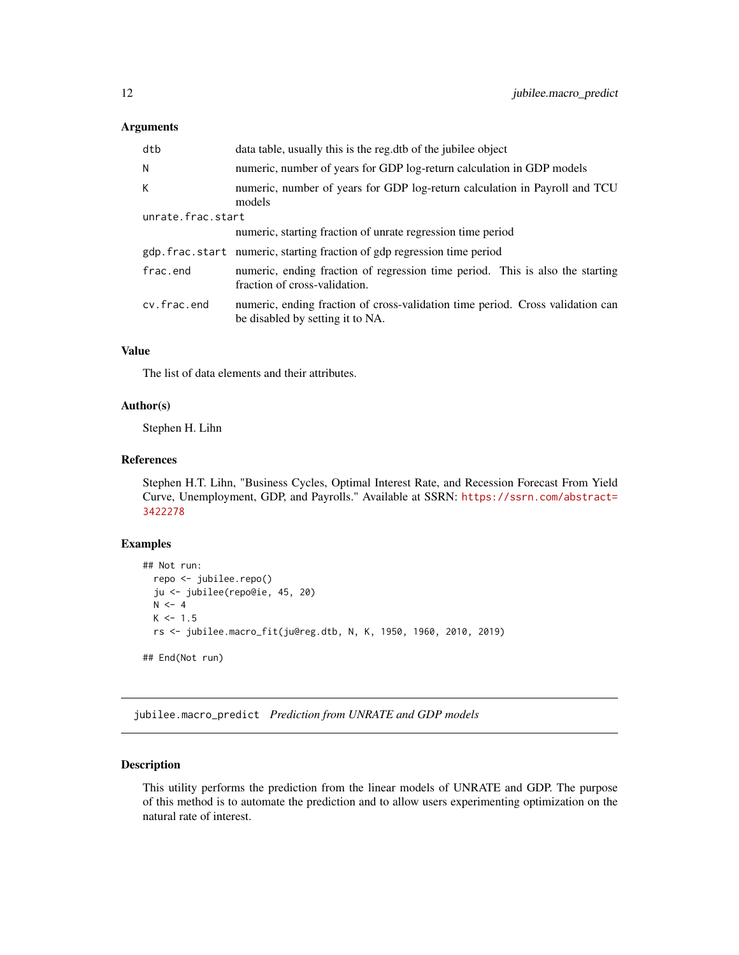#### <span id="page-11-0"></span>Arguments

| dtb               | data table, usually this is the reg.dtb of the jubilee object                                                      |  |
|-------------------|--------------------------------------------------------------------------------------------------------------------|--|
| Ν                 | numeric, number of years for GDP log-return calculation in GDP models                                              |  |
| K                 | numeric, number of years for GDP log-return calculation in Payroll and TCU<br>models                               |  |
| unrate.frac.start |                                                                                                                    |  |
|                   | numeric, starting fraction of unrate regression time period                                                        |  |
|                   | gdp.frac.start numeric, starting fraction of gdp regression time period                                            |  |
| frac.end          | numeric, ending fraction of regression time period. This is also the starting<br>fraction of cross-validation.     |  |
| cv.frac.end       | numeric, ending fraction of cross-validation time period. Cross validation can<br>be disabled by setting it to NA. |  |

#### Value

The list of data elements and their attributes.

#### Author(s)

Stephen H. Lihn

#### References

Stephen H.T. Lihn, "Business Cycles, Optimal Interest Rate, and Recession Forecast From Yield Curve, Unemployment, GDP, and Payrolls." Available at SSRN: [https://ssrn.com/abstract=](https://ssrn.com/abstract=3422278) [3422278](https://ssrn.com/abstract=3422278)

### Examples

```
## Not run:
 repo <- jubilee.repo()
 ju <- jubilee(repo@ie, 45, 20)
 N < -4K < -1.5rs <- jubilee.macro_fit(ju@reg.dtb, N, K, 1950, 1960, 2010, 2019)
## End(Not run)
```
jubilee.macro\_predict *Prediction from UNRATE and GDP models*

#### Description

This utility performs the prediction from the linear models of UNRATE and GDP. The purpose of this method is to automate the prediction and to allow users experimenting optimization on the natural rate of interest.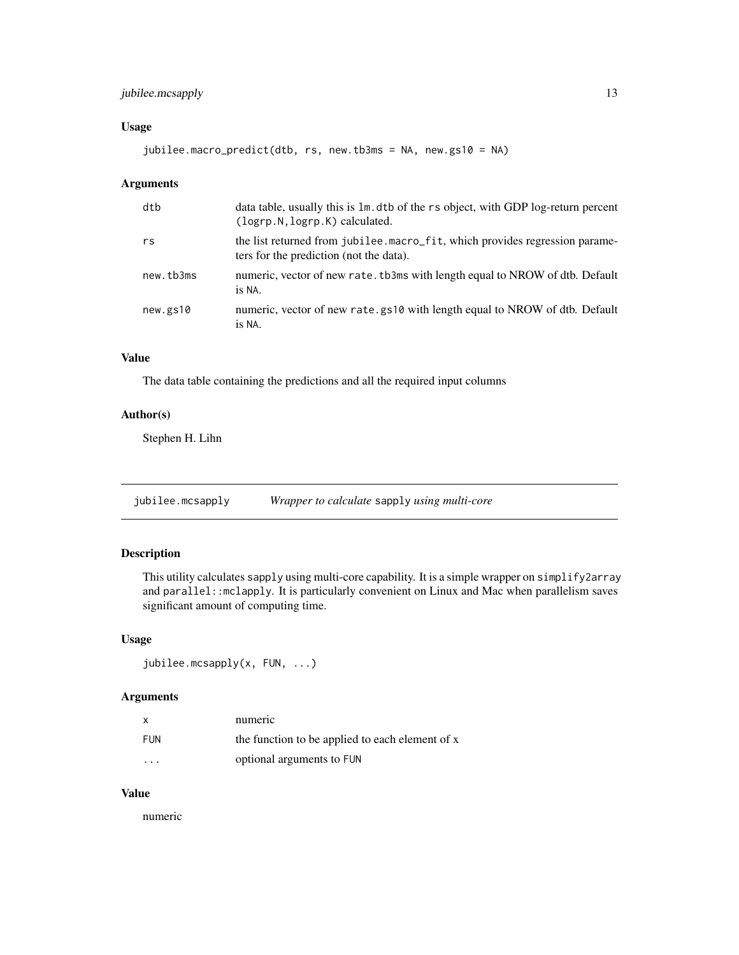## <span id="page-12-0"></span>jubilee.mcsapply 13

#### Usage

jubilee.macro\_predict(dtb, rs, new.tb3ms = NA, new.gs10 = NA)

#### Arguments

| dtb       | data table, usually this is 1m. dtb of the rs object, with GDP log-return percent<br>(logrp.N, logrp.K) calculated.    |
|-----------|------------------------------------------------------------------------------------------------------------------------|
| rs        | the list returned from jubilee.macro_fit, which provides regression parame-<br>ters for the prediction (not the data). |
| new.tb3ms | numeric, vector of new rate. tb3ms with length equal to NROW of dtb. Default<br>is NA.                                 |
| new.gs10  | numeric, vector of new rate.gs10 with length equal to NROW of dtb. Default<br>is NA.                                   |

# Value

The data table containing the predictions and all the required input columns

#### Author(s)

Stephen H. Lihn

jubilee.mcsapply *Wrapper to calculate* sapply *using multi-core*

#### Description

This utility calculates sapply using multi-core capability. It is a simple wrapper on simplify2array and parallel::mclapply. It is particularly convenient on Linux and Mac when parallelism saves significant amount of computing time.

#### Usage

```
jubilee.mcsapply(x, FUN, ...)
```
#### Arguments

|                      | numeric                                         |
|----------------------|-------------------------------------------------|
| FUN                  | the function to be applied to each element of x |
| $\ddot{\phantom{0}}$ | optional arguments to FUN                       |

#### Value

numeric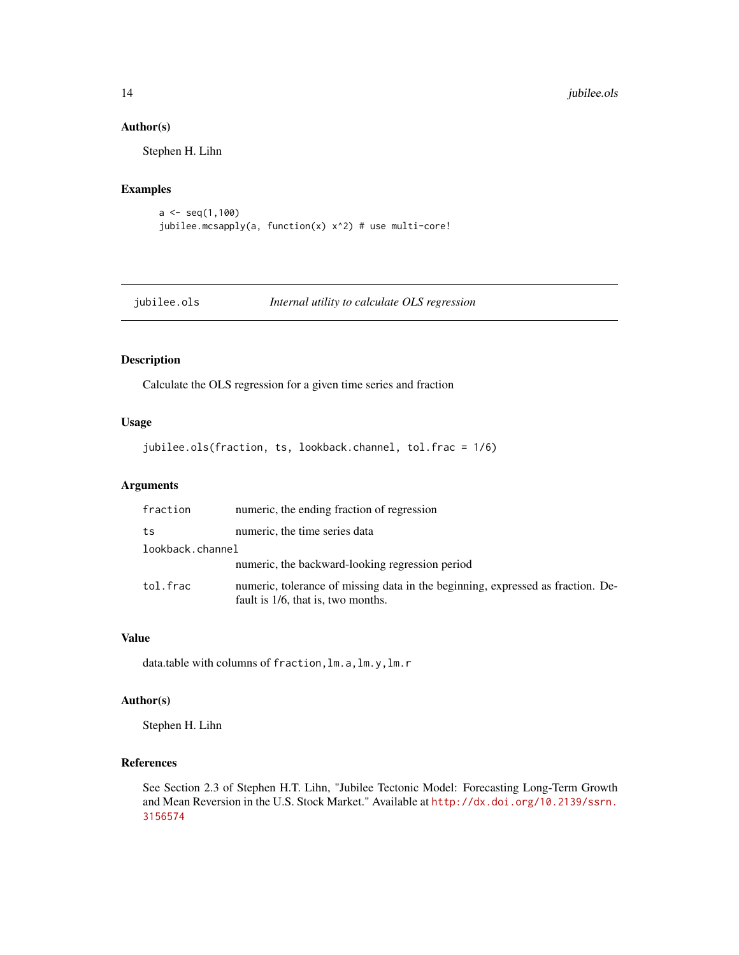#### Author(s)

Stephen H. Lihn

#### Examples

```
a \leftarrow \text{seq}(1,100)jubilee.mcsapply(a, function(x) x^2) # use multi-core!
```
jubilee.ols *Internal utility to calculate OLS regression*

## Description

Calculate the OLS regression for a given time series and fraction

#### Usage

jubilee.ols(fraction, ts, lookback.channel, tol.frac = 1/6)

## Arguments

| fraction         | numeric, the ending fraction of regression                                                                            |
|------------------|-----------------------------------------------------------------------------------------------------------------------|
| ts               | numeric, the time series data                                                                                         |
| lookback.channel |                                                                                                                       |
|                  | numeric, the backward-looking regression period                                                                       |
| tol.frac         | numeric, tolerance of missing data in the beginning, expressed as fraction. De-<br>fault is 1/6, that is, two months. |

# Value

data.table with columns of fraction,lm.a,lm.y,lm.r

#### Author(s)

Stephen H. Lihn

# References

See Section 2.3 of Stephen H.T. Lihn, "Jubilee Tectonic Model: Forecasting Long-Term Growth and Mean Reversion in the U.S. Stock Market." Available at [http://dx.doi.org/10.2139/ssrn.](http://dx.doi.org/10.2139/ssrn.3156574) [3156574](http://dx.doi.org/10.2139/ssrn.3156574)

<span id="page-13-0"></span>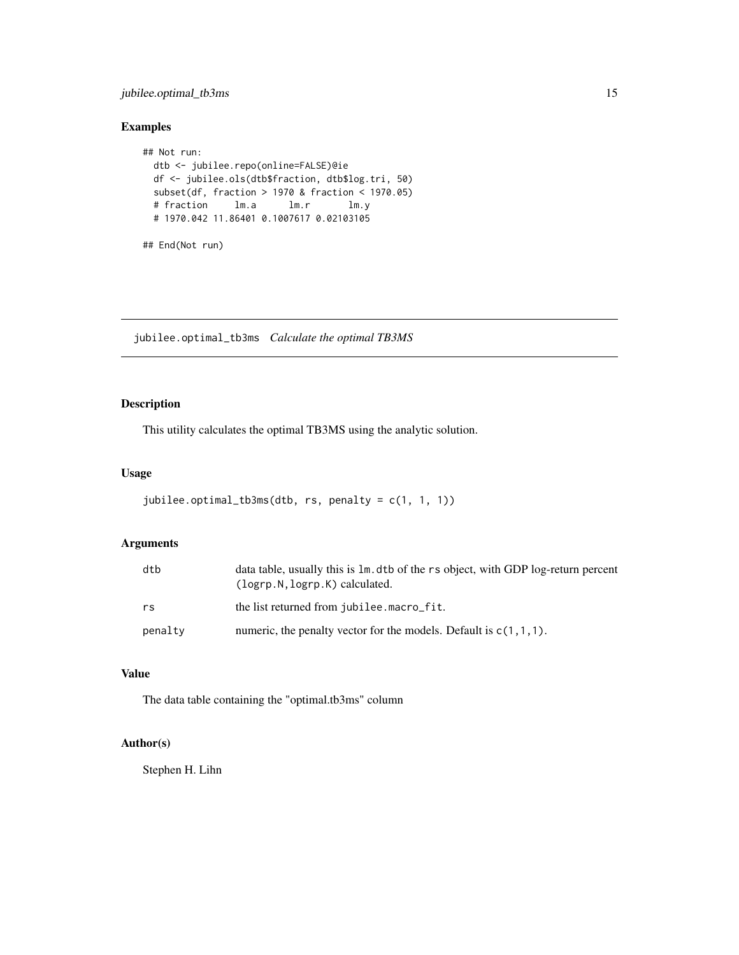## <span id="page-14-0"></span>jubilee.optimal\_tb3ms 15

#### Examples

```
## Not run:
 dtb <- jubilee.repo(online=FALSE)@ie
 df <- jubilee.ols(dtb$fraction, dtb$log.tri, 50)
 subset(df, fraction > 1970 & fraction < 1970.05)
 # fraction lm.a lm.r lm.y
 # 1970.042 11.86401 0.1007617 0.02103105
## End(Not run)
```
jubilee.optimal\_tb3ms *Calculate the optimal TB3MS*

## Description

This utility calculates the optimal TB3MS using the analytic solution.

#### Usage

```
jubilee.optimal_tb3ms(dtb, rs, penalty = c(1, 1, 1))
```
## Arguments

| dtb     | data table, usually this is 1m. dtb of the rs object, with GDP log-return percent<br>$(logrp.N, logrp.K)$ calculated. |
|---------|-----------------------------------------------------------------------------------------------------------------------|
| rs      | the list returned from jubilee.macro_fit.                                                                             |
| penalty | numeric, the penalty vector for the models. Default is $c(1,1,1)$ .                                                   |

# Value

The data table containing the "optimal.tb3ms" column

# Author(s)

Stephen H. Lihn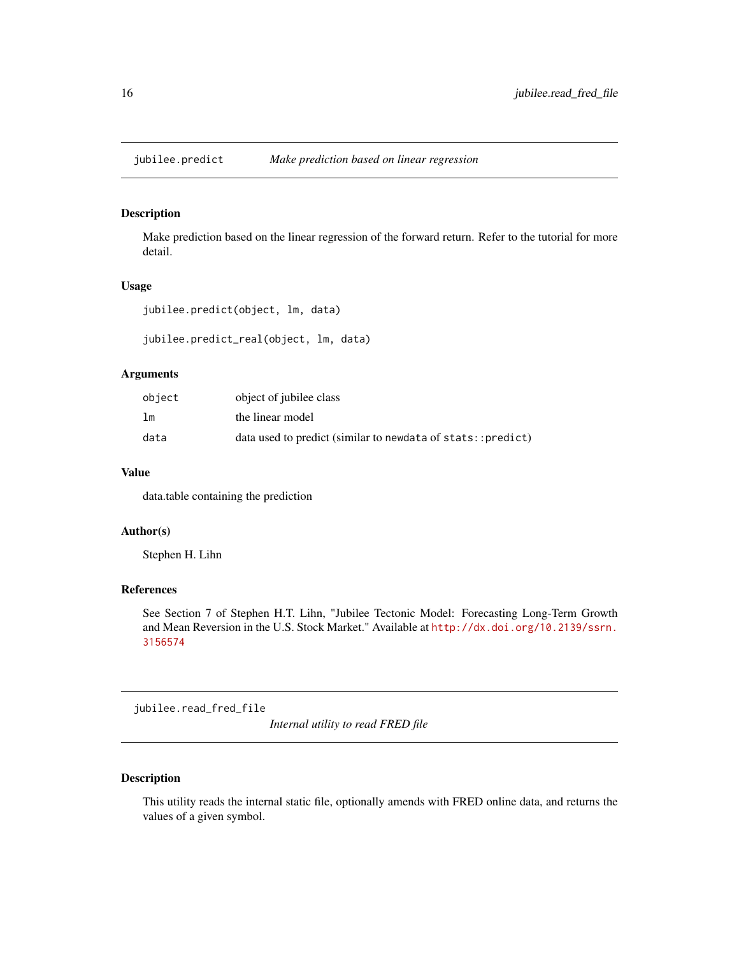<span id="page-15-0"></span>jubilee.predict *Make prediction based on linear regression*

# Description

Make prediction based on the linear regression of the forward return. Refer to the tutorial for more detail.

#### Usage

jubilee.predict(object, lm, data)

jubilee.predict\_real(object, lm, data)

#### Arguments

| object         | object of jubilee class                                     |
|----------------|-------------------------------------------------------------|
| 1 <sub>m</sub> | the linear model                                            |
| data           | data used to predict (similar to newdata of stats::predict) |

#### Value

data.table containing the prediction

#### Author(s)

Stephen H. Lihn

#### References

See Section 7 of Stephen H.T. Lihn, "Jubilee Tectonic Model: Forecasting Long-Term Growth and Mean Reversion in the U.S. Stock Market." Available at [http://dx.doi.org/10.2139/ssrn.](http://dx.doi.org/10.2139/ssrn.3156574) [3156574](http://dx.doi.org/10.2139/ssrn.3156574)

jubilee.read\_fred\_file

*Internal utility to read FRED file*

#### Description

This utility reads the internal static file, optionally amends with FRED online data, and returns the values of a given symbol.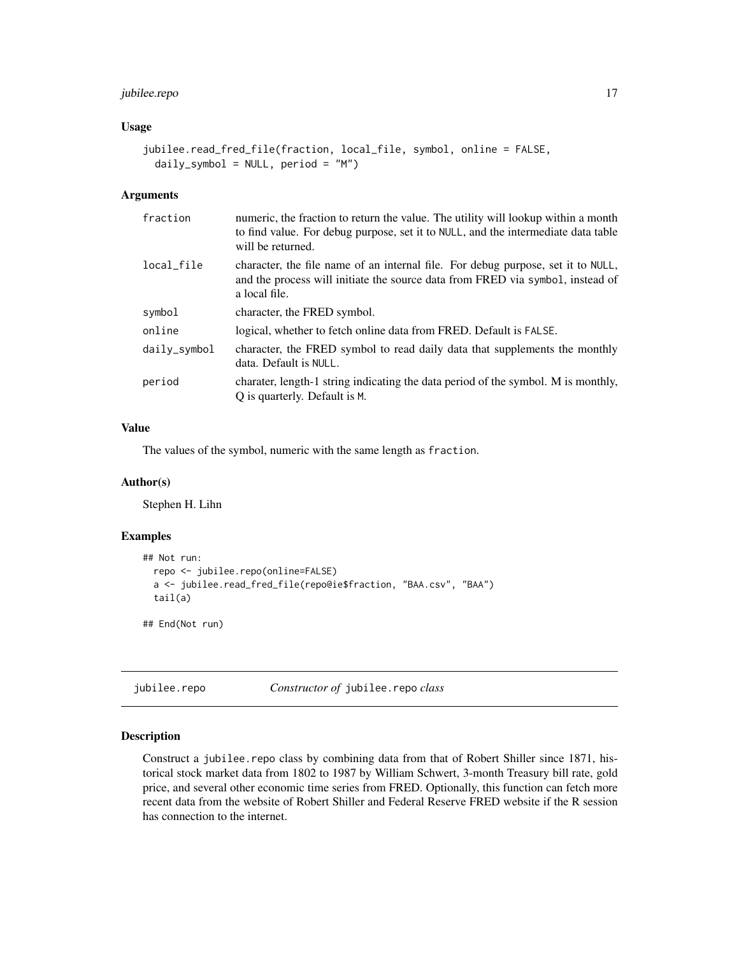## <span id="page-16-0"></span>jubilee.repo 17

#### Usage

```
jubilee.read_fred_file(fraction, local_file, symbol, online = FALSE,
 daily_symbol = NULL, period = "M")
```
#### Arguments

| fraction        | numeric, the fraction to return the value. The utility will lookup within a month<br>to find value. For debug purpose, set it to NULL, and the intermediate data table<br>will be returned. |
|-----------------|---------------------------------------------------------------------------------------------------------------------------------------------------------------------------------------------|
| local file      | character, the file name of an internal file. For debug purpose, set it to NULL,<br>and the process will initiate the source data from FRED via symbol, instead of<br>a local file.         |
| symbol          | character, the FRED symbol.                                                                                                                                                                 |
| online          | logical, whether to fetch online data from FRED. Default is FALSE.                                                                                                                          |
| $dailv$ _symbol | character, the FRED symbol to read daily data that supplements the monthly<br>data. Default is NULL.                                                                                        |
| period          | charater, length-1 string indicating the data period of the symbol. M is monthly,<br>Q is quarterly. Default is M.                                                                          |

#### Value

The values of the symbol, numeric with the same length as fraction.

#### Author(s)

Stephen H. Lihn

# Examples

```
## Not run:
 repo <- jubilee.repo(online=FALSE)
 a <- jubilee.read_fred_file(repo@ie$fraction, "BAA.csv", "BAA")
 tail(a)
## End(Not run)
```
jubilee.repo *Constructor of* jubilee.repo *class*

## Description

Construct a jubilee.repo class by combining data from that of Robert Shiller since 1871, historical stock market data from 1802 to 1987 by William Schwert, 3-month Treasury bill rate, gold price, and several other economic time series from FRED. Optionally, this function can fetch more recent data from the website of Robert Shiller and Federal Reserve FRED website if the R session has connection to the internet.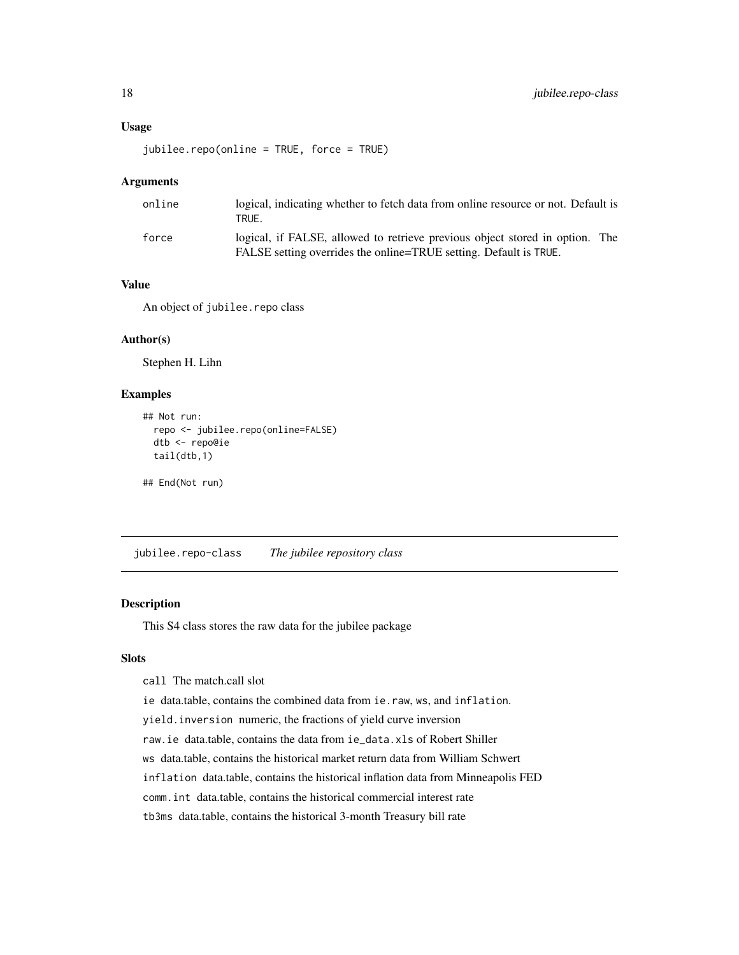#### <span id="page-17-0"></span>Usage

```
jubilee.repo(online = TRUE, force = TRUE)
```
#### Arguments

| online | logical, indicating whether to fetch data from online resource or not. Default is<br>TRUE.                                                        |
|--------|---------------------------------------------------------------------------------------------------------------------------------------------------|
| force  | logical, if FALSE, allowed to retrieve previous object stored in option. The<br>FALSE setting overrides the online=TRUE setting. Default is TRUE. |

## Value

An object of jubilee.repo class

#### Author(s)

Stephen H. Lihn

#### Examples

```
## Not run:
 repo <- jubilee.repo(online=FALSE)
 dtb <- repo@ie
 tail(dtb,1)
```
## End(Not run)

jubilee.repo-class *The jubilee repository class*

### Description

This S4 class stores the raw data for the jubilee package

#### Slots

```
call The match.call slot
```
ie data.table, contains the combined data from ie.raw, ws, and inflation.

yield.inversion numeric, the fractions of yield curve inversion

raw.ie data.table, contains the data from ie\_data.xls of Robert Shiller

ws data.table, contains the historical market return data from William Schwert

inflation data.table, contains the historical inflation data from Minneapolis FED

comm.int data.table, contains the historical commercial interest rate

tb3ms data.table, contains the historical 3-month Treasury bill rate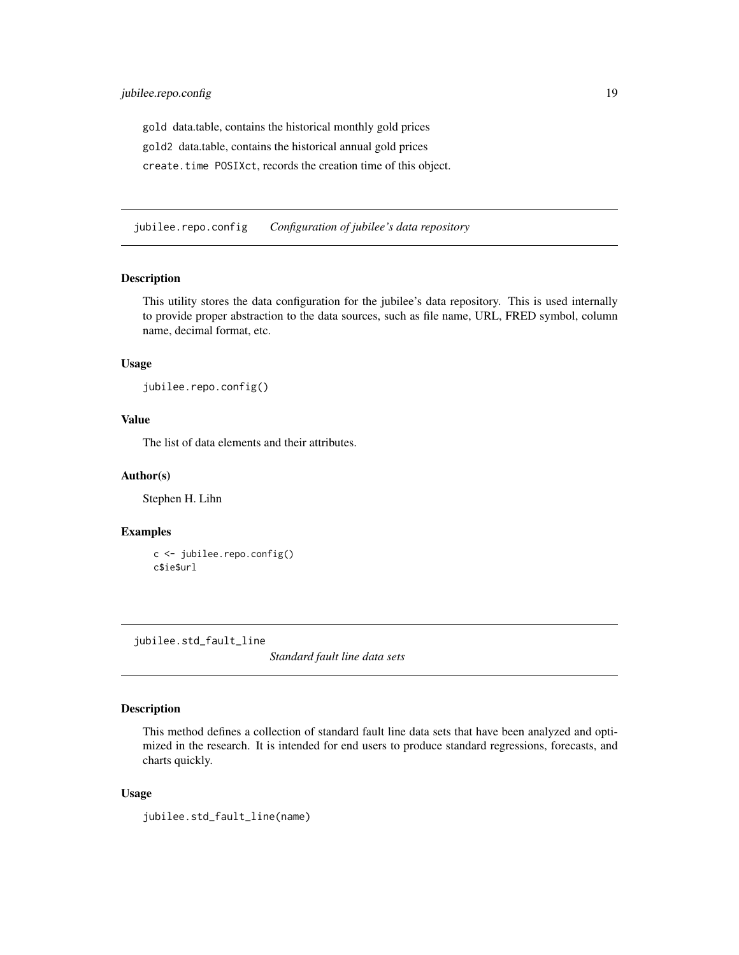<span id="page-18-0"></span>gold data.table, contains the historical monthly gold prices gold2 data.table, contains the historical annual gold prices create.time POSIXct, records the creation time of this object.

jubilee.repo.config *Configuration of jubilee's data repository*

#### Description

This utility stores the data configuration for the jubilee's data repository. This is used internally to provide proper abstraction to the data sources, such as file name, URL, FRED symbol, column name, decimal format, etc.

#### Usage

jubilee.repo.config()

#### Value

The list of data elements and their attributes.

#### Author(s)

Stephen H. Lihn

# Examples

```
c <- jubilee.repo.config()
c$ie$url
```
jubilee.std\_fault\_line

*Standard fault line data sets*

#### Description

This method defines a collection of standard fault line data sets that have been analyzed and optimized in the research. It is intended for end users to produce standard regressions, forecasts, and charts quickly.

#### Usage

jubilee.std\_fault\_line(name)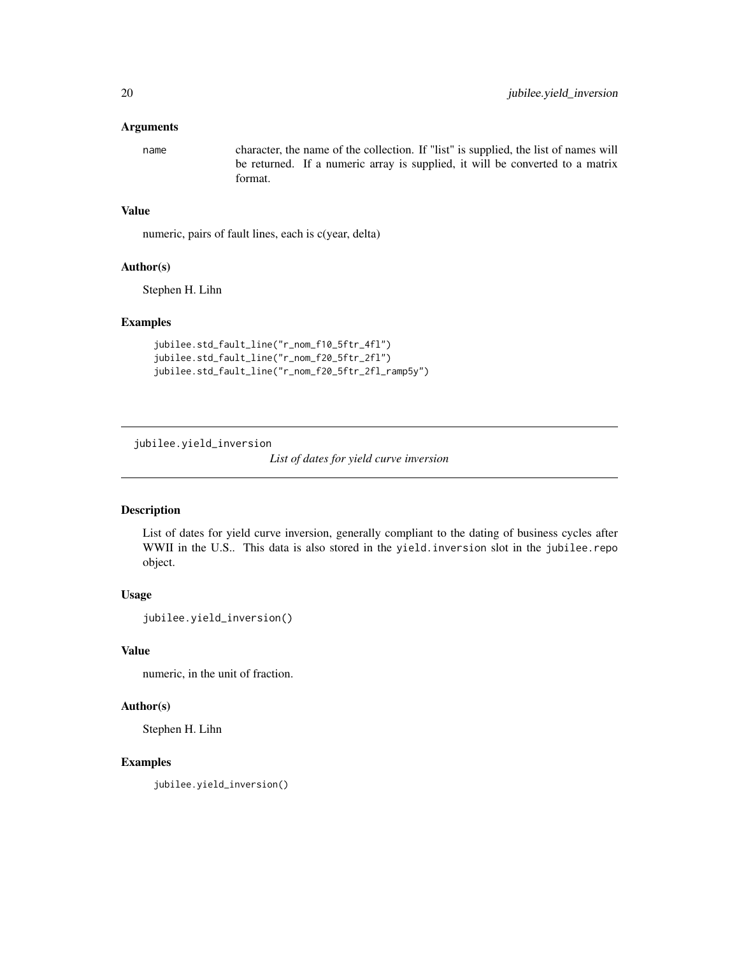#### <span id="page-19-0"></span>**Arguments**

name character, the name of the collection. If "list" is supplied, the list of names will be returned. If a numeric array is supplied, it will be converted to a matrix format.

#### Value

numeric, pairs of fault lines, each is c(year, delta)

#### Author(s)

Stephen H. Lihn

#### Examples

```
jubilee.std_fault_line("r_nom_f10_5ftr_4fl")
jubilee.std_fault_line("r_nom_f20_5ftr_2fl")
jubilee.std_fault_line("r_nom_f20_5ftr_2fl_ramp5y")
```
jubilee.yield\_inversion

*List of dates for yield curve inversion*

## Description

List of dates for yield curve inversion, generally compliant to the dating of business cycles after WWII in the U.S.. This data is also stored in the yield. inversion slot in the jubilee.repo object.

#### Usage

jubilee.yield\_inversion()

# Value

numeric, in the unit of fraction.

#### Author(s)

Stephen H. Lihn

#### Examples

jubilee.yield\_inversion()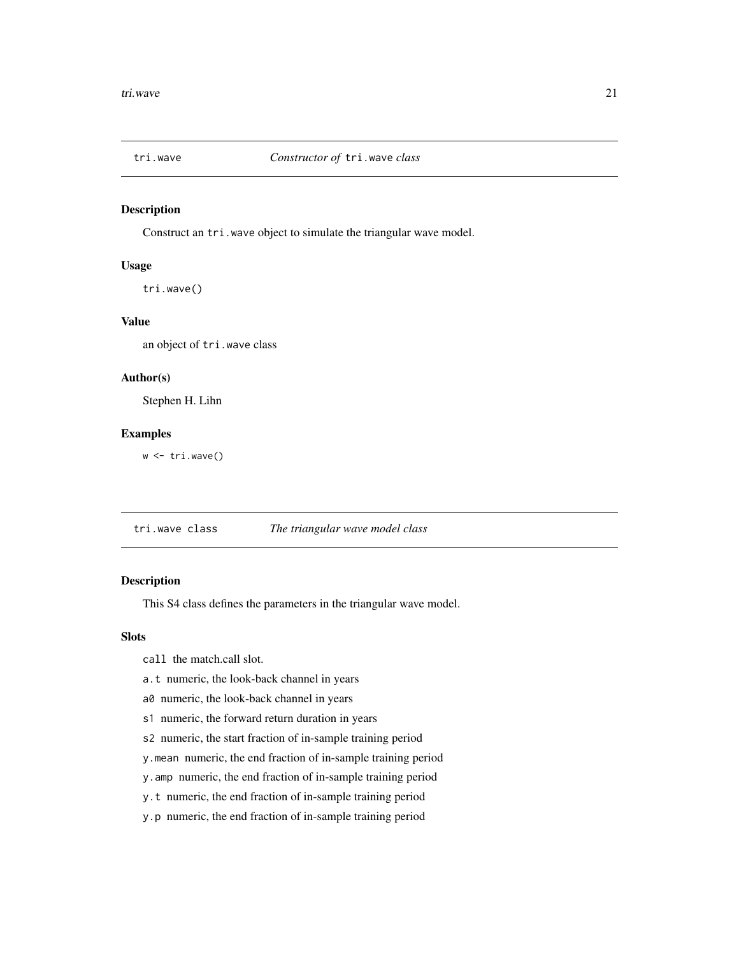<span id="page-20-0"></span>

#### Description

Construct an tri.wave object to simulate the triangular wave model.

# Usage

tri.wave()

#### Value

an object of tri.wave class

#### Author(s)

Stephen H. Lihn

#### Examples

w <- tri.wave()

tri.wave class *The triangular wave model class*

# Description

This S4 class defines the parameters in the triangular wave model.

#### Slots

call the match.call slot.

- a.t numeric, the look-back channel in years
- a0 numeric, the look-back channel in years
- s1 numeric, the forward return duration in years
- s2 numeric, the start fraction of in-sample training period
- y.mean numeric, the end fraction of in-sample training period
- y.amp numeric, the end fraction of in-sample training period
- y.t numeric, the end fraction of in-sample training period
- y.p numeric, the end fraction of in-sample training period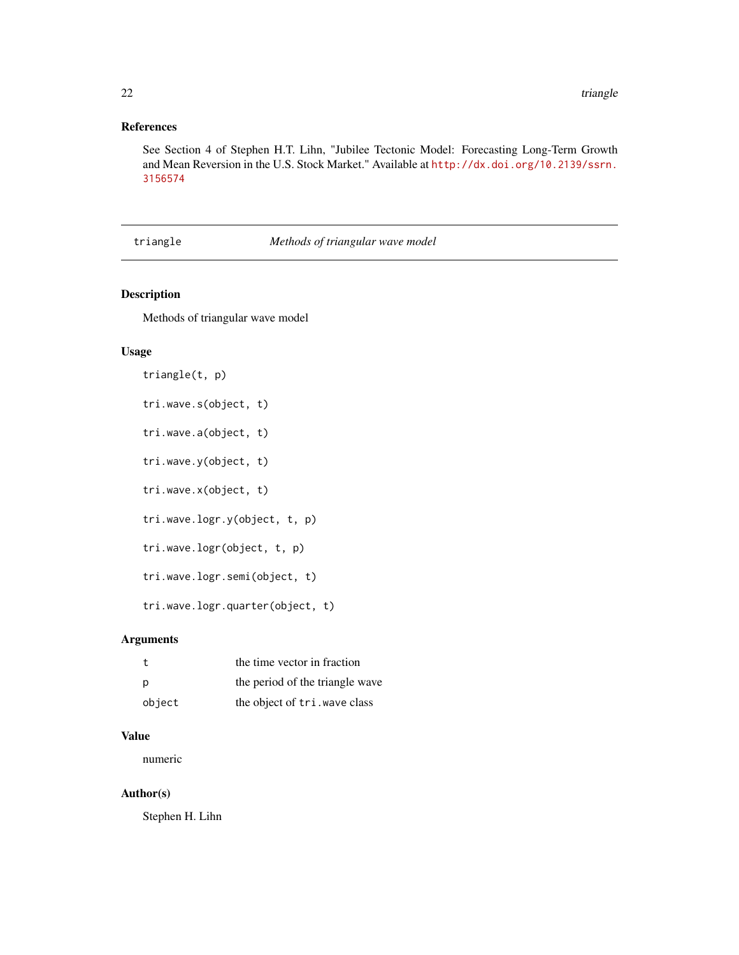# <span id="page-21-0"></span>References

See Section 4 of Stephen H.T. Lihn, "Jubilee Tectonic Model: Forecasting Long-Term Growth and Mean Reversion in the U.S. Stock Market." Available at [http://dx.doi.org/10.2139/ssrn.](http://dx.doi.org/10.2139/ssrn.3156574) [3156574](http://dx.doi.org/10.2139/ssrn.3156574)

#### triangle *Methods of triangular wave model*

## Description

Methods of triangular wave model

## Usage

```
triangle(t, p)
tri.wave.s(object, t)
tri.wave.a(object, t)
tri.wave.y(object, t)
tri.wave.x(object, t)
tri.wave.logr.y(object, t, p)
tri.wave.logr(object, t, p)
tri.wave.logr.semi(object, t)
tri.wave.logr.quarter(object, t)
```
#### Arguments

|        | the time vector in fraction     |
|--------|---------------------------------|
| - p    | the period of the triangle wave |
| object | the object of tri. wave class   |

#### Value

numeric

#### Author(s)

Stephen H. Lihn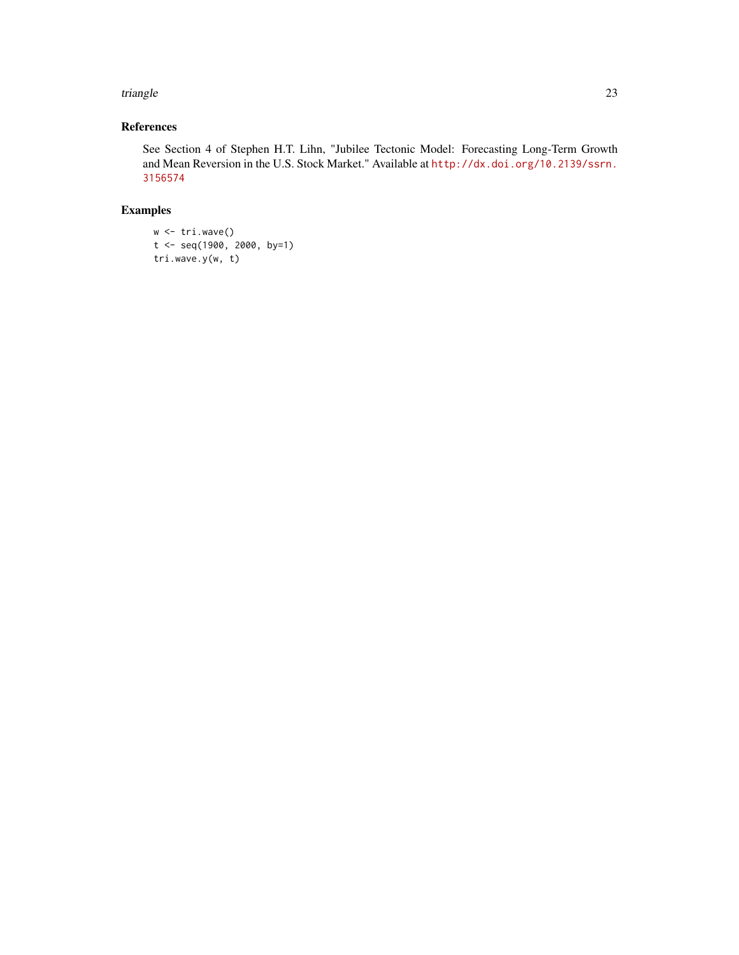#### triangle 23

# References

See Section 4 of Stephen H.T. Lihn, "Jubilee Tectonic Model: Forecasting Long-Term Growth and Mean Reversion in the U.S. Stock Market." Available at [http://dx.doi.org/10.2139/ssrn.](http://dx.doi.org/10.2139/ssrn.3156574) [3156574](http://dx.doi.org/10.2139/ssrn.3156574)

# Examples

```
w <- tri.wave()
t <- seq(1900, 2000, by=1)
tri.wave.y(w, t)
```